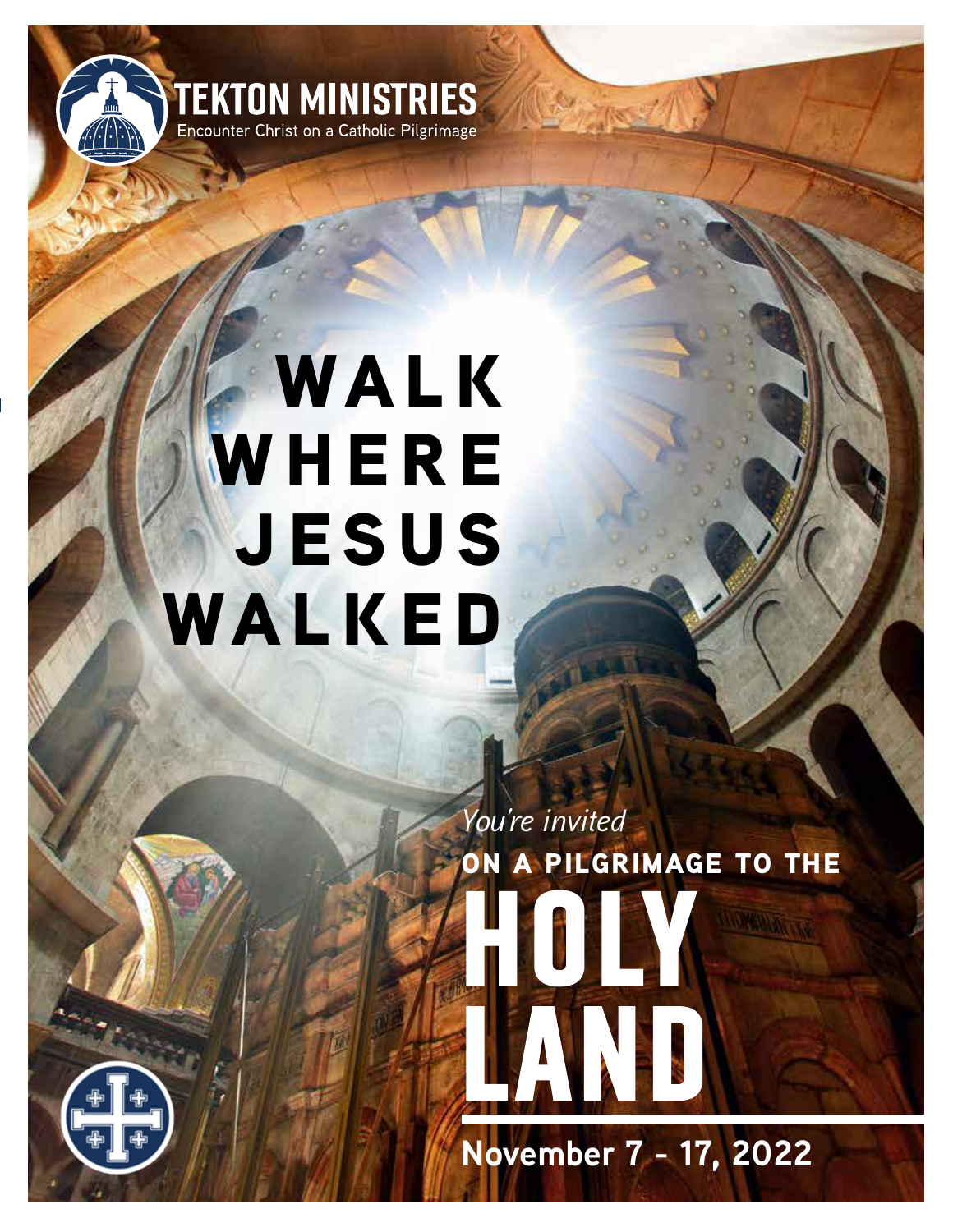

# **WALK WHERE jesus walked**

**on a pilgrimage to the** *You're invited* **HOLY LAND**

**November 7 - 17, 2022**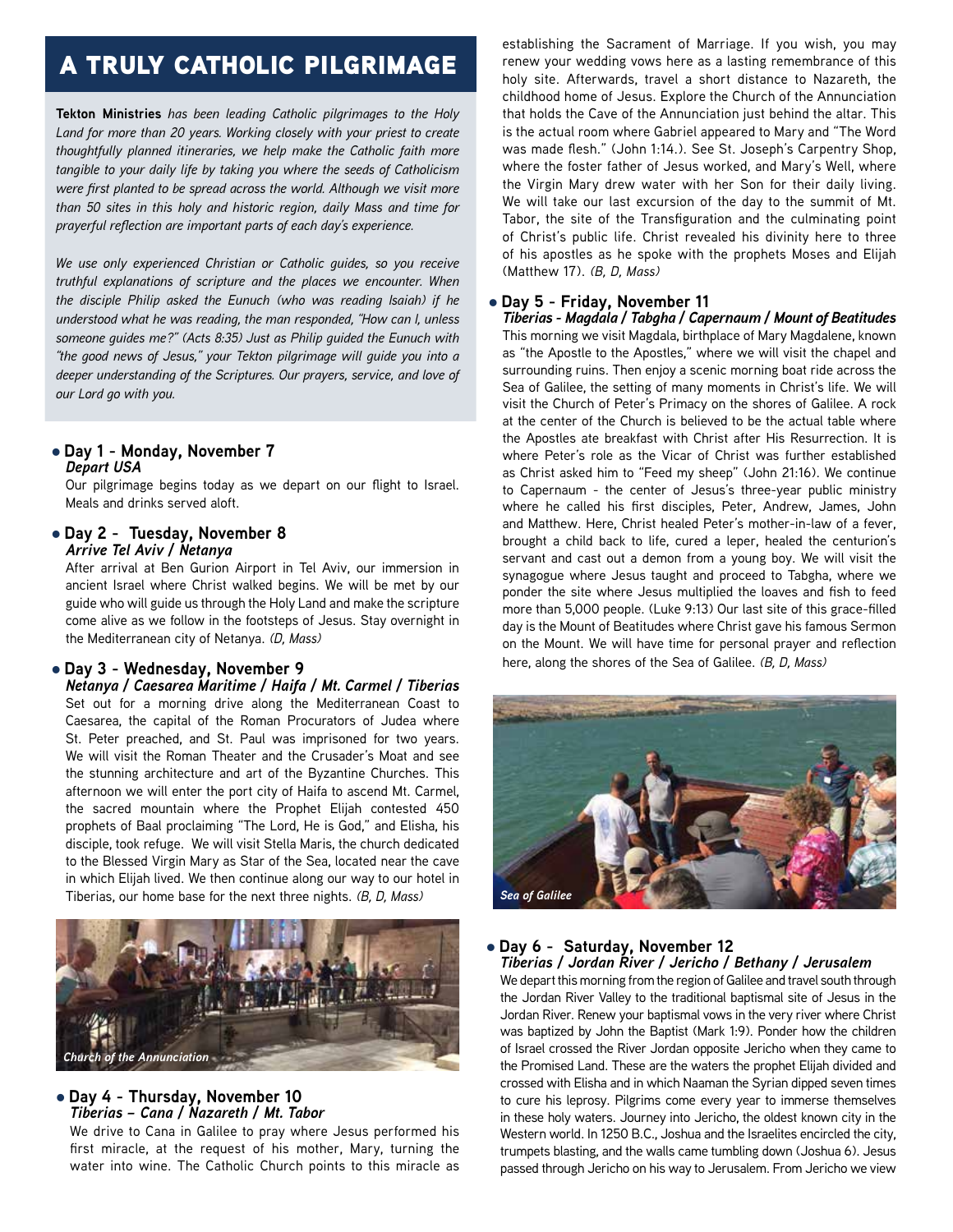## a truly catholic pilgrimage

**Tekton Ministries** *has been leading Catholic pilgrimages to the Holy Land for more than 20 years. Working closely with your priest to create thoughtfully planned itineraries, we help make the Catholic faith more tangible to your daily life by taking you where the seeds of Catholicism were first planted to be spread across the world. Although we visit more than 50 sites in this holy and historic region, daily Mass and time for prayerful reflection are important parts of each day's experience.*

*We use only experienced Christian or Catholic guides, so you receive truthful explanations of scripture and the places we encounter. When the disciple Philip asked the Eunuch (who was reading Isaiah) if he understood what he was reading, the man responded, "How can I, unless someone guides me?" (Acts 8:35) Just as Philip guided the Eunuch with "the good news of Jesus," your Tekton pilgrimage will guide you into a deeper understanding of the Scriptures. Our prayers, service, and love of our Lord go with you.*

#### l **Day 1 - Monday, November 7** *Depart USA*

Our pilgrimage begins today as we depart on our flight to Israel. Meals and drinks served aloft.

l **Day 2 - Tuesday, November 8** *Arrive Tel Aviv / Netanya*

After arrival at Ben Gurion Airport in Tel Aviv, our immersion in ancient Israel where Christ walked begins. We will be met by our guide who will guide us through the Holy Land and make the scripture come alive as we follow in the footsteps of Jesus. Stay overnight in the Mediterranean city of Netanya. *(D, Mass)*

#### l **Day 3 - Wednesday, November 9**

*Netanya / Caesarea Maritime / Haifa / Mt. Carmel / Tiberias* Set out for a morning drive along the Mediterranean Coast to Caesarea, the capital of the Roman Procurators of Judea where St. Peter preached, and St. Paul was imprisoned for two years. We will visit the Roman Theater and the Crusader's Moat and see the stunning architecture and art of the Byzantine Churches. This afternoon we will enter the port city of Haifa to ascend Mt. Carmel, the sacred mountain where the Prophet Elijah contested 450 prophets of Baal proclaiming "The Lord, He is God," and Elisha, his disciple, took refuge. We will visit Stella Maris, the church dedicated to the Blessed Virgin Mary as Star of the Sea, located near the cave in which Elijah lived. We then continue along our way to our hotel in Tiberias, our home base for the next three nights. *(B, D, Mass)*



#### l **Day 4 - Thursday, November 10** *Tiberias – Cana / Nazareth / Mt. Tabor*

We drive to Cana in Galilee to pray where Jesus performed his first miracle, at the request of his mother, Mary, turning the water into wine. The Catholic Church points to this miracle as

establishing the Sacrament of Marriage. If you wish, you may renew your wedding vows here as a lasting remembrance of this holy site. Afterwards, travel a short distance to Nazareth, the childhood home of Jesus. Explore the Church of the Annunciation that holds the Cave of the Annunciation just behind the altar. This is the actual room where Gabriel appeared to Mary and "The Word was made flesh." (John 1:14.). See St. Joseph's Carpentry Shop, where the foster father of Jesus worked, and Mary's Well, where the Virgin Mary drew water with her Son for their daily living. We will take our last excursion of the day to the summit of Mt. Tabor, the site of the Transfiguration and the culminating point of Christ's public life. Christ revealed his divinity here to three of his apostles as he spoke with the prophets Moses and Elijah (Matthew 17). *(B, D, Mass)*

#### l **Day 5 - Friday, November 11**

*Tiberias - Magdala / Tabgha / Capernaum / Mount of Beatitudes* This morning we visit Magdala, birthplace of Mary Magdalene, known as "the Apostle to the Apostles," where we will visit the chapel and surrounding ruins. Then enjoy a scenic morning boat ride across the Sea of Galilee, the setting of many moments in Christ's life. We will visit the Church of Peter's Primacy on the shores of Galilee. A rock at the center of the Church is believed to be the actual table where the Apostles ate breakfast with Christ after His Resurrection. It is where Peter's role as the Vicar of Christ was further established as Christ asked him to "Feed my sheep" (John 21:16). We continue to Capernaum - the center of Jesus's three-year public ministry where he called his first disciples, Peter, Andrew, James, John and Matthew. Here, Christ healed Peter's mother-in-law of a fever, brought a child back to life, cured a leper, healed the centurion's servant and cast out a demon from a young boy. We will visit the synagogue where Jesus taught and proceed to Tabgha, where we ponder the site where Jesus multiplied the loaves and fish to feed more than 5,000 people. (Luke 9:13) Our last site of this grace-filled day is the Mount of Beatitudes where Christ gave his famous Sermon on the Mount. We will have time for personal prayer and reflection here, along the shores of the Sea of Galilee. *(B, D, Mass)*



### l **Day 6 - Saturday, November 12**

*Tiberias / Jordan River / Jericho / Bethany / Jerusalem* We depart this morning from the region of Galilee and travel south through the Jordan River Valley to the traditional baptismal site of Jesus in the Jordan River. Renew your baptismal vows in the very river where Christ was baptized by John the Baptist (Mark 1:9). Ponder how the children of Israel crossed the River Jordan opposite Jericho when they came to the Promised Land. These are the waters the prophet Elijah divided and crossed with Elisha and in which Naaman the Syrian dipped seven times to cure his leprosy. Pilgrims come every year to immerse themselves in these holy waters. Journey into Jericho, the oldest known city in the Western world. In 1250 B.C., Joshua and the Israelites encircled the city, trumpets blasting, and the walls came tumbling down (Joshua 6). Jesus passed through Jericho on his way to Jerusalem. From Jericho we view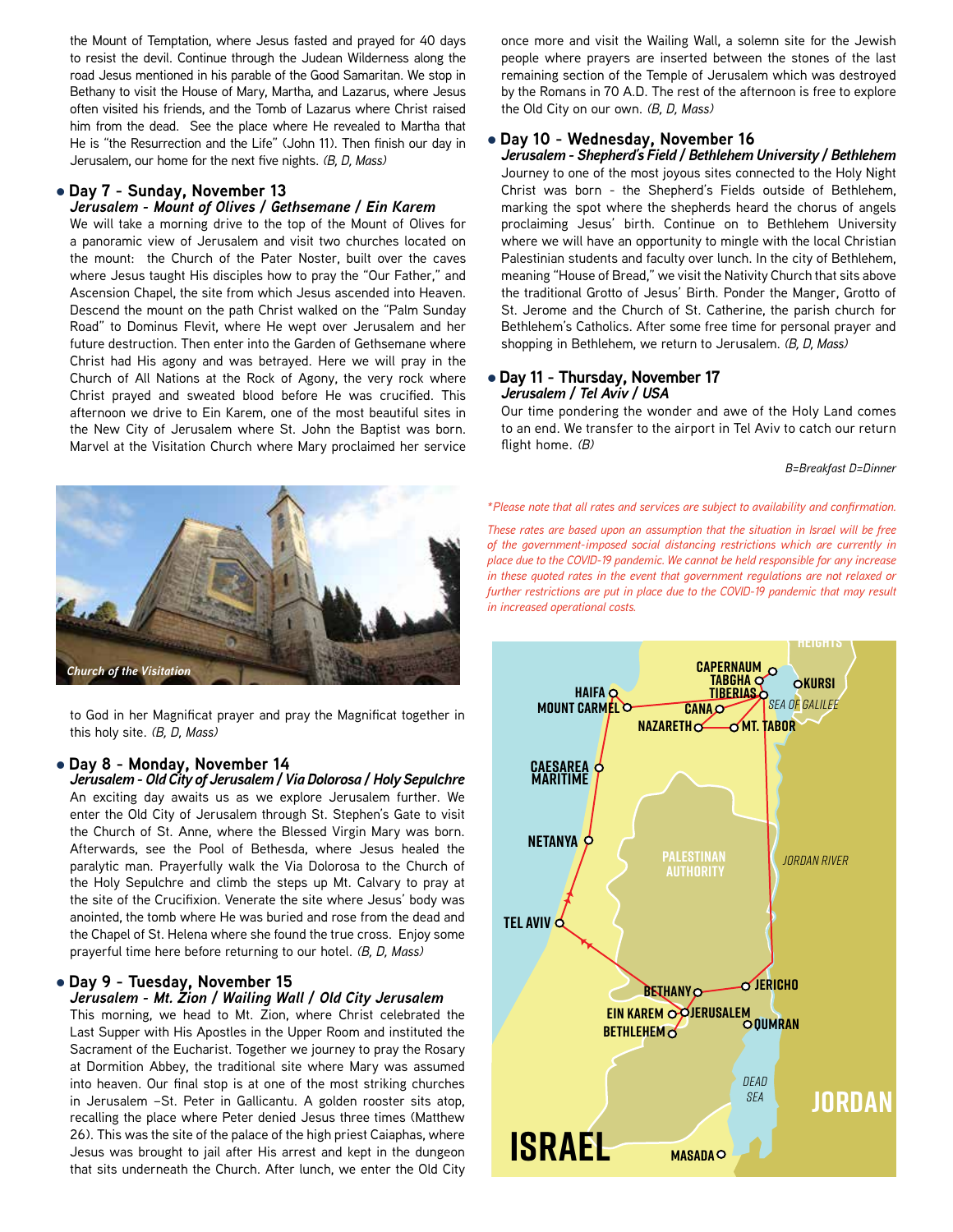the Mount of Temptation, where Jesus fasted and prayed for 40 days to resist the devil. Continue through the Judean Wilderness along the road Jesus mentioned in his parable of the Good Samaritan. We stop in Bethany to visit the House of Mary, Martha, and Lazarus, where Jesus often visited his friends, and the Tomb of Lazarus where Christ raised him from the dead. See the place where He revealed to Martha that He is "the Resurrection and the Life" (John 11). Then finish our day in Jerusalem, our home for the next five nights. *(B, D, Mass)*

#### l **Day 7 - Sunday, November 13**

#### *Jerusalem - Mount of Olives / Gethsemane / Ein Karem*

We will take a morning drive to the top of the Mount of Olives for a panoramic view of Jerusalem and visit two churches located on the mount: the Church of the Pater Noster, built over the caves where Jesus taught His disciples how to pray the "Our Father," and Ascension Chapel, the site from which Jesus ascended into Heaven. Descend the mount on the path Christ walked on the "Palm Sunday Road" to Dominus Flevit, where He wept over Jerusalem and her future destruction. Then enter into the Garden of Gethsemane where Christ had His agony and was betrayed. Here we will pray in the Church of All Nations at the Rock of Agony, the very rock where Christ prayed and sweated blood before He was crucified. This afternoon we drive to Ein Karem, one of the most beautiful sites in the New City of Jerusalem where St. John the Baptist was born. Marvel at the Visitation Church where Mary proclaimed her service



to God in her Magnificat prayer and pray the Magnificat together in this holy site. *(B, D, Mass)*

#### l **Day 8 - Monday, November 14**

*Jerusalem - Old City of Jerusalem / Via Dolorosa / Holy Sepulchre* An exciting day awaits us as we explore Jerusalem further. We enter the Old City of Jerusalem through St. Stephen's Gate to visit the Church of St. Anne, where the Blessed Virgin Mary was born. Afterwards, see the Pool of Bethesda, where Jesus healed the paralytic man. Prayerfully walk the Via Dolorosa to the Church of the Holy Sepulchre and climb the steps up Mt. Calvary to pray at the site of the Crucifixion. Venerate the site where Jesus' body was anointed, the tomb where He was buried and rose from the dead and the Chapel of St. Helena where she found the true cross. Enjoy some prayerful time here before returning to our hotel. *(B, D, Mass)*

#### l **Day 9 - Tuesday, November 15**

#### *Jerusalem - Mt. Zion / Wailing Wall / Old City Jerusalem*

This morning, we head to Mt. Zion, where Christ celebrated the Last Supper with His Apostles in the Upper Room and instituted the Sacrament of the Eucharist. Together we journey to pray the Rosary at Dormition Abbey, the traditional site where Mary was assumed into heaven. Our final stop is at one of the most striking churches in Jerusalem –St. Peter in Gallicantu. A golden rooster sits atop, recalling the place where Peter denied Jesus three times (Matthew 26). This was the site of the palace of the high priest Caiaphas, where Jesus was brought to jail after His arrest and kept in the dungeon that sits underneath the Church. After lunch, we enter the Old City once more and visit the Wailing Wall, a solemn site for the Jewish people where prayers are inserted between the stones of the last remaining section of the Temple of Jerusalem which was destroyed by the Romans in 70 A.D. The rest of the afternoon is free to explore the Old City on our own. *(B, D, Mass)*

#### l **Day 10 - Wednesday, November 16**

*Jerusalem - Shepherd's Field / Bethlehem University / Bethlehem* Journey to one of the most joyous sites connected to the Holy Night Christ was born - the Shepherd's Fields outside of Bethlehem, marking the spot where the shepherds heard the chorus of angels proclaiming Jesus' birth. Continue on to Bethlehem University where we will have an opportunity to mingle with the local Christian Palestinian students and faculty over lunch. In the city of Bethlehem, meaning "House of Bread," we visit the Nativity Church that sits above the traditional Grotto of Jesus' Birth. Ponder the Manger, Grotto of St. Jerome and the Church of St. Catherine, the parish church for Bethlehem's Catholics. After some free time for personal prayer and shopping in Bethlehem, we return to Jerusalem. *(B, D, Mass)*

#### l **Day 11 - Thursday, November 17** *Jerusalem / Tel Aviv / USA*

Our time pondering the wonder and awe of the Holy Land comes to an end. We transfer to the airport in Tel Aviv to catch our return flight home. *(B)*

*B=Breakfast D=Dinner*

**lebanon** *\*Please note that all rates and services are subject to availability and confirmation.*

of the government-imposed social distancing restrictions which are currently in<br>place due to the COVID-19 pandemic. We cannot be held responsible for any increase of the government-imposed social distancing restrictions which are currently in *These rates are based upon an assumption that the situation in Israel will be free in these quoted rates in the event that government regulations are not relaxed or*  further restrictions are put in place due to the COVID-19 pandemic that may result *in increased operational costs.*